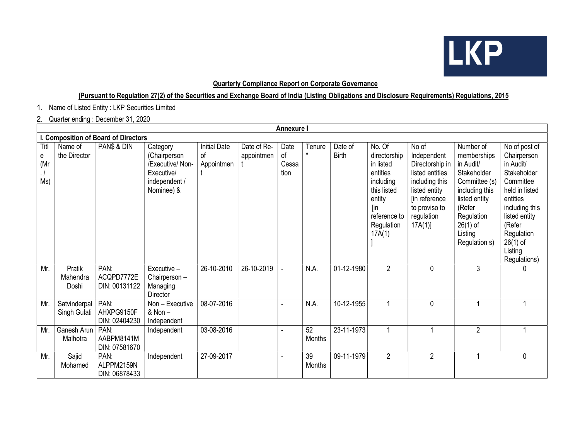

## Quarterly Compliance Report on Corporate Governance

## (Pursuant to Regulation 27(2) of the Securities and Exchange Board of India (Listing Obligations and Disclosure Requirements) Regulations, 2015

- 1. Name of Listed Entity : LKP Securities Limited
- 2. Quarter ending : December 31, 2020

|                                      | <b>Annexure I</b>            |                                     |                                                                                           |                                         |                           |                             |                           |                  |                                                                                                                                      |                                                                                                                                                         |                                                                                                                                                                            |                                                                                                                                                                                                         |  |
|--------------------------------------|------------------------------|-------------------------------------|-------------------------------------------------------------------------------------------|-----------------------------------------|---------------------------|-----------------------------|---------------------------|------------------|--------------------------------------------------------------------------------------------------------------------------------------|---------------------------------------------------------------------------------------------------------------------------------------------------------|----------------------------------------------------------------------------------------------------------------------------------------------------------------------------|---------------------------------------------------------------------------------------------------------------------------------------------------------------------------------------------------------|--|
| I. Composition of Board of Directors |                              |                                     |                                                                                           |                                         |                           |                             |                           |                  |                                                                                                                                      |                                                                                                                                                         |                                                                                                                                                                            |                                                                                                                                                                                                         |  |
| Titl<br>e<br>(Mr<br>Ms)              | Name of<br>the Director      | PAN\$ & DIN                         | Category<br>(Chairperson<br>/Executive/ Non-<br>Executive/<br>independent /<br>Nominee) & | <b>Initial Date</b><br>of<br>Appointmen | Date of Re-<br>appointmen | Date<br>of<br>Cessa<br>tion | Tenure<br>$\star$         | Date of<br>Birth | No. Of<br>directorship<br>in listed<br>entities<br>including<br>this listed<br>entity<br>[in<br>reference to<br>Regulation<br>17A(1) | No of<br>Independent<br>Directorship in<br>listed entities<br>including this<br>listed entity<br>[in reference<br>to proviso to<br>regulation<br>17A(1) | Number of<br>memberships<br>in Audit/<br>Stakeholder<br>Committee (s)<br>including this<br>listed entity<br>(Refer<br>Regulation<br>$26(1)$ of<br>Listing<br>Regulation s) | No of post of<br>Chairperson<br>in Audit/<br>Stakeholder<br>Committee<br>held in listed<br>entities<br>including this<br>listed entity<br>(Refer<br>Regulation<br>$26(1)$ of<br>Listing<br>Regulations) |  |
| Mr.                                  | Pratik<br>Mahendra<br>Doshi  | PAN:<br>ACQPD7772E<br>DIN: 00131122 | Executive -<br>Chairperson-<br>Managing<br>Director                                       | 26-10-2010                              | 26-10-2019                |                             | N.A.                      | 01-12-1980       | $\overline{2}$                                                                                                                       | $\mathbf{0}$                                                                                                                                            | 3                                                                                                                                                                          | N                                                                                                                                                                                                       |  |
| Mr.                                  | Satvinderpal<br>Singh Gulati | PAN:<br>AHXPG9150F<br>DIN: 02404230 | $\overline{\text{Non}}$ – Executive<br>$&$ Non $-$<br>Independent                         | 08-07-2016                              |                           |                             | N.A.                      | 10-12-1955       |                                                                                                                                      | $\mathbf{0}$                                                                                                                                            |                                                                                                                                                                            |                                                                                                                                                                                                         |  |
| Mr.                                  | Ganesh Arun<br>Malhotra      | PAN:<br>AABPM8141M<br>DIN: 07581670 | Independent                                                                               | 03-08-2016                              |                           |                             | 52<br>Months              | 23-11-1973       |                                                                                                                                      |                                                                                                                                                         | $\overline{2}$                                                                                                                                                             | 1                                                                                                                                                                                                       |  |
| Mr.                                  | Sajid<br>Mohamed             | PAN:<br>ALPPM2159N<br>DIN: 06878433 | Independent                                                                               | 27-09-2017                              |                           |                             | $\overline{39}$<br>Months | 09-11-1979       | $\overline{2}$                                                                                                                       | $\overline{2}$                                                                                                                                          |                                                                                                                                                                            | 0                                                                                                                                                                                                       |  |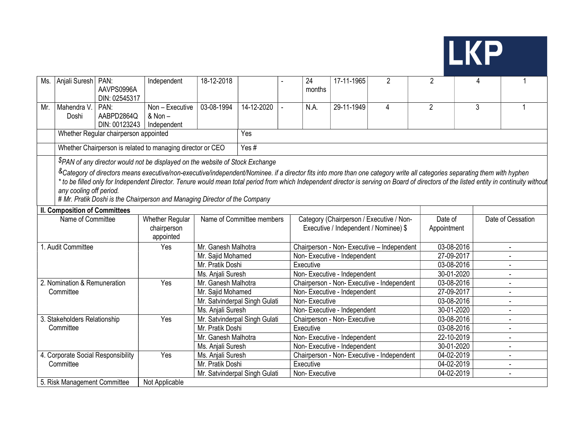

\$PAN of any director would not be displayed on the website of Stock Exchange

Non – Executive

& Non –

Whether Regular chairperson appointed Ves

Whether Chairperson is related to managing director or CEO Yes #

 $Independent \, | \, 18-12-2018 \, | \, - | \, 24$ 

Ms. Anjali Suresh PAN:

Mr. Mahendra V $\parallel$ Doshi

AAVPS0996A DIN: 02545317

AABPD2864Q

DIN: 00123243 Independent

PAN:

&Category of directors means executive/non-executive/independent/Nominee. if a director fits into more than one category write all categories separating them with hyphen \* to be filled only for Independent Director. Tenure would mean total period from which Independent director is serving on Board of directors of the listed entity in continuity without any cooling off period.

# Mr. Pratik Doshi is the Chairperson and Managing Director of the Company

## II. Composition of Committees Name of Committee Whether Regular chairperson appointed Name of Committee members | Category (Chairperson / Executive / Non-Executive / Independent / Nominee) \$ Date of Appointment Date of Cessation 1. Audit Committee The Yes Mr. Ganesh Malhotra Chairperson - Non- Executive – Independent Non-03-08-2016 Nor-Mr. Sajid Mohamed Non- Executive - Independent 27-09-2017 Mr. Pratik Doshi Executive 03-08-2016 - Ms. Anjali Suresh Non- Executive - Independent 1990-01-2020 2. Nomination & Remuneration **Committee** Yes Mr. Ganesh Malhotra Chairperson - Non- Executive - Independent 03-08-2016<br>Mr. Saiid Mohamed Non- Executive - Independent 27-09-2017 Non- Executive - Independent 27-09-2017 Mr. Satvinderpal Singh Gulati | Non- Executive | 03-08-2016 Ms. Anjali Suresh Non- Executive - Independent 30-01-2020 3. Stakeholders Relationship **Committee** Yes Mr. Satvinderpal Singh Gulati Chairperson - Non- Executive 03-08-2016<br>Mr. Pratik Doshi Executive Executive 03-08-2016 Mr. Pratik Doshi **Executive** Mr. Ganesh Malhotra Non- Executive - Independent 1998 - 22-10-2019 - Albert 2010 Ms. Anjali Suresh  $\vert$  Non- Executive - Independent  $\vert$  30-01-2020 4. Corporate Social Responsibility **Committee** Yes Ms. Anjali Suresh Chairperson - Non- Executive - Independent | 04-02-2019 Mr. Pratik Doshi **Executive** Executive **1998** - 04-02-2019 Mr. Satvinderpal Singh Gulati Non-Executive 1994 04-02-2019 - 04-02-2019 5. Risk Management Committee | Not Applicable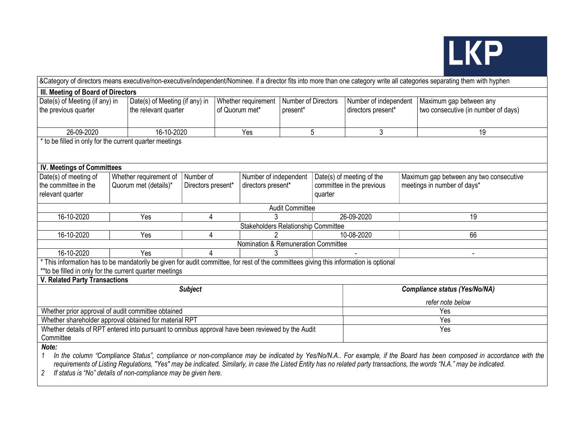

| &Category of directors means executive/non-executive/independent/Nominee. if a director fits into more than one category write all categories separating them with hyphen                      |  |                                                        |                                 |                                       |                                             |                                 |                                                                   |                                             |                                                                        |                                                                                                                                                                   |  |
|------------------------------------------------------------------------------------------------------------------------------------------------------------------------------------------------|--|--------------------------------------------------------|---------------------------------|---------------------------------------|---------------------------------------------|---------------------------------|-------------------------------------------------------------------|---------------------------------------------|------------------------------------------------------------------------|-------------------------------------------------------------------------------------------------------------------------------------------------------------------|--|
| III. Meeting of Board of Directors                                                                                                                                                             |  |                                                        |                                 |                                       |                                             |                                 |                                                                   |                                             |                                                                        |                                                                                                                                                                   |  |
| Date(s) of Meeting (if any) in<br>the previous quarter                                                                                                                                         |  | Date(s) of Meeting (if any) in<br>the relevant quarter |                                 | Whether requirement<br>of Quorum met* |                                             | Number of Directors<br>present* |                                                                   | Number of independent<br>directors present* |                                                                        | Maximum gap between any<br>two consecutive (in number of days)                                                                                                    |  |
| 26-09-2020                                                                                                                                                                                     |  | 16-10-2020                                             |                                 | Yes                                   |                                             | 5                               |                                                                   | 3                                           |                                                                        | 19                                                                                                                                                                |  |
| * to be filled in only for the current quarter meetings                                                                                                                                        |  |                                                        |                                 |                                       |                                             |                                 |                                                                   |                                             |                                                                        |                                                                                                                                                                   |  |
| <b>IV. Meetings of Committees</b>                                                                                                                                                              |  |                                                        |                                 |                                       |                                             |                                 |                                                                   |                                             |                                                                        |                                                                                                                                                                   |  |
| Date(s) of meeting of<br>the committee in the<br>relevant quarter                                                                                                                              |  | Whether requirement of<br>Quorum met (details)*        | Number of<br>Directors present* |                                       | Number of independent<br>directors present* |                                 | Date(s) of meeting of the<br>committee in the previous<br>quarter |                                             | Maximum gap between any two consecutive<br>meetings in number of days* |                                                                                                                                                                   |  |
| <b>Audit Committee</b>                                                                                                                                                                         |  |                                                        |                                 |                                       |                                             |                                 |                                                                   |                                             |                                                                        |                                                                                                                                                                   |  |
| 16-10-2020                                                                                                                                                                                     |  | Yes                                                    | $\overline{4}$                  |                                       |                                             |                                 | 26-09-2020                                                        |                                             |                                                                        | 19                                                                                                                                                                |  |
| Stakeholders Relationship Committee                                                                                                                                                            |  |                                                        |                                 |                                       |                                             |                                 |                                                                   |                                             |                                                                        |                                                                                                                                                                   |  |
| 16-10-2020<br>Yes                                                                                                                                                                              |  |                                                        | $\overline{4}$                  |                                       |                                             |                                 |                                                                   | 10-08-2020                                  |                                                                        | 66                                                                                                                                                                |  |
| Nomination & Remuneration Committee                                                                                                                                                            |  |                                                        |                                 |                                       |                                             |                                 |                                                                   |                                             |                                                                        |                                                                                                                                                                   |  |
| 16-10-2020<br>Yes<br>3<br>4                                                                                                                                                                    |  |                                                        |                                 |                                       |                                             |                                 |                                                                   |                                             |                                                                        |                                                                                                                                                                   |  |
| This information has to be mandatorily be given for audit committee, for rest of the committees giving this information is optional<br>**to be filled in only for the current quarter meetings |  |                                                        |                                 |                                       |                                             |                                 |                                                                   |                                             |                                                                        |                                                                                                                                                                   |  |
| <b>V. Related Party Transactions</b><br><b>Subject</b><br><b>Compliance status (Yes/No/NA)</b>                                                                                                 |  |                                                        |                                 |                                       |                                             |                                 |                                                                   |                                             |                                                                        |                                                                                                                                                                   |  |
| refer note below                                                                                                                                                                               |  |                                                        |                                 |                                       |                                             |                                 |                                                                   |                                             |                                                                        |                                                                                                                                                                   |  |
| Whether prior approval of audit committee obtained<br>Yes                                                                                                                                      |  |                                                        |                                 |                                       |                                             |                                 |                                                                   |                                             |                                                                        |                                                                                                                                                                   |  |
| Whether shareholder approval obtained for material RPT<br>Yes                                                                                                                                  |  |                                                        |                                 |                                       |                                             |                                 |                                                                   |                                             |                                                                        |                                                                                                                                                                   |  |
| Whether details of RPT entered into pursuant to omnibus approval have been reviewed by the Audit<br>Yes<br>Committee                                                                           |  |                                                        |                                 |                                       |                                             |                                 |                                                                   |                                             |                                                                        |                                                                                                                                                                   |  |
| Note:                                                                                                                                                                                          |  |                                                        |                                 |                                       |                                             |                                 |                                                                   |                                             |                                                                        |                                                                                                                                                                   |  |
|                                                                                                                                                                                                |  |                                                        |                                 |                                       |                                             |                                 |                                                                   |                                             |                                                                        | In the column "Compliance Status", compliance or non-compliance may be indicated by Yes/No/N.A For example, if the Board has been composed in accordance with the |  |

requirements of Listing Regulations, "Yes" may be indicated. Similarly, in case the Listed Entity has no related party transactions, the words "N.A." may be indicated.

2 If status is "No" details of non-compliance may be given here.